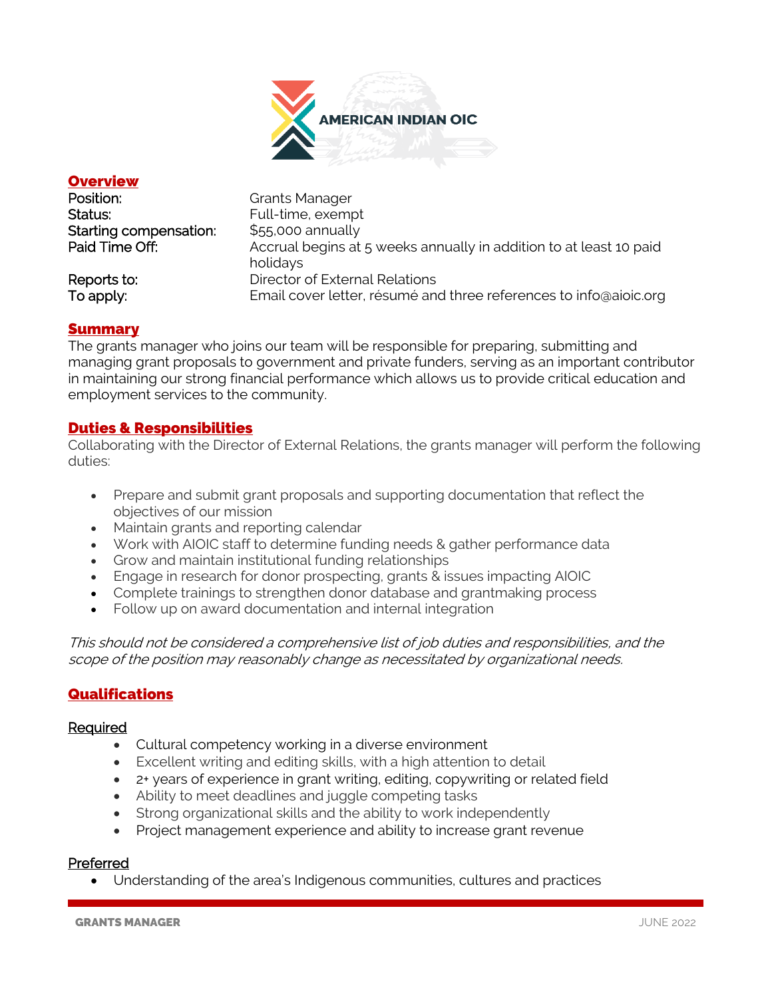

### **Overview**

| Position:              | <b>Grants Manager</b>                                                          |
|------------------------|--------------------------------------------------------------------------------|
| Status:                | Full-time, exempt                                                              |
| Starting compensation: | $$55,000$ annually                                                             |
| Paid Time Off:         | Accrual begins at 5 weeks annually in addition to at least 10 paid<br>holidays |
| Reports to:            | Director of External Relations                                                 |
| To apply:              | Email cover letter, résumé and three references to info@aioic.org              |

#### Summary

The grants manager who joins our team will be responsible for preparing, submitting and managing grant proposals to government and private funders, serving as an important contributor in maintaining our strong financial performance which allows us to provide critical education and employment services to the community.

## Duties & Responsibilities

Collaborating with the Director of External Relations, the grants manager will perform the following duties:

- Prepare and submit grant proposals and supporting documentation that reflect the objectives of our mission
- Maintain grants and reporting calendar
- Work with AIOIC staff to determine funding needs & gather performance data
- Grow and maintain institutional funding relationships
- Engage in research for donor prospecting, grants & issues impacting AIOIC
- Complete trainings to strengthen donor database and grantmaking process
- Follow up on award documentation and internal integration

This should not be considered a comprehensive list of job duties and responsibilities, and the scope of the position may reasonably change as necessitated by organizational needs.

# **Qualifications**

#### Required

- Cultural competency working in a diverse environment
- Excellent writing and editing skills, with a high attention to detail
- 2+ years of experience in grant writing, editing, copywriting or related field
- Ability to meet deadlines and juggle competing tasks
- Strong organizational skills and the ability to work independently
- Project management experience and ability to increase grant revenue

#### Preferred

• Understanding of the area's Indigenous communities, cultures and practices